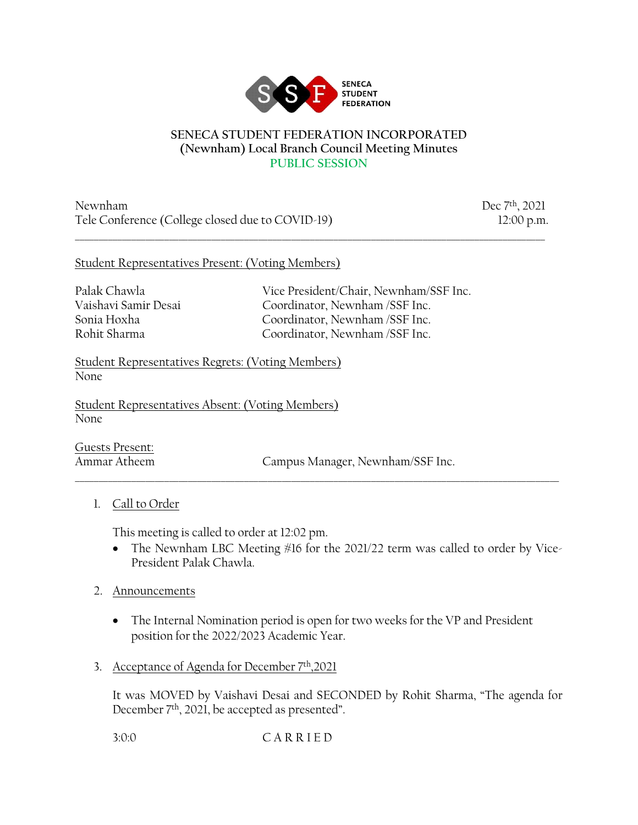

#### **SENECA STUDENT FEDERATION INCORPORATED (Newnham) Local Branch Council Meeting Minutes PUBLIC SESSION**

\_\_\_\_\_\_\_\_\_\_\_\_\_\_\_\_\_\_\_\_\_\_\_\_\_\_\_\_\_\_\_\_\_\_\_\_\_\_\_\_\_\_\_\_\_\_\_\_\_\_\_\_\_\_\_\_\_\_\_\_\_\_\_\_\_\_\_\_\_\_\_\_\_\_\_\_\_\_\_\_\_\_\_\_\_\_\_\_\_\_\_\_\_\_\_\_\_\_\_\_

Newnham Dec 7<sup>th</sup>, 2021 Tele Conference (College closed due to COVID-19) 12:00 p.m.

#### Student Representatives Present: (Voting Members)

Palak Chawla Vice President/Chair, Newnham/SSF Inc. Vaishavi Samir Desai Coordinator, Newnham /SSF Inc. Sonia Hoxha Coordinator, Newnham /SSF Inc. Rohit Sharma Coordinator, Newnham /SSF Inc.

Student Representatives Regrets: (Voting Members) None

Student Representatives Absent: (Voting Members) None

Guests Present:

Ammar Atheem Campus Manager, Newnham/SSF Inc.

## 1. Call to Order

This meeting is called to order at 12:02 pm.

• The Newnham LBC Meeting #16 for the 2021/22 term was called to order by Vice-President Palak Chawla.

\_\_\_\_\_\_\_\_\_\_\_\_\_\_\_\_\_\_\_\_\_\_\_\_\_\_\_\_\_\_\_\_\_\_\_\_\_\_\_\_\_\_\_\_\_\_\_\_\_\_\_\_\_\_\_\_\_\_\_\_\_\_\_\_\_\_\_\_\_\_\_\_\_\_\_\_\_\_\_\_\_\_\_\_\_\_\_\_\_\_\_\_\_\_\_\_\_\_\_\_\_\_\_

## 2. Announcements

- The Internal Nomination period is open for two weeks for the VP and President position for the 2022/2023 Academic Year.
- 3. Acceptance of Agenda for December 7th,2021

It was MOVED by Vaishavi Desai and SECONDED by Rohit Sharma, "The agenda for December 7th, 2021, be accepted as presented".

3:0:0 C A R R I E D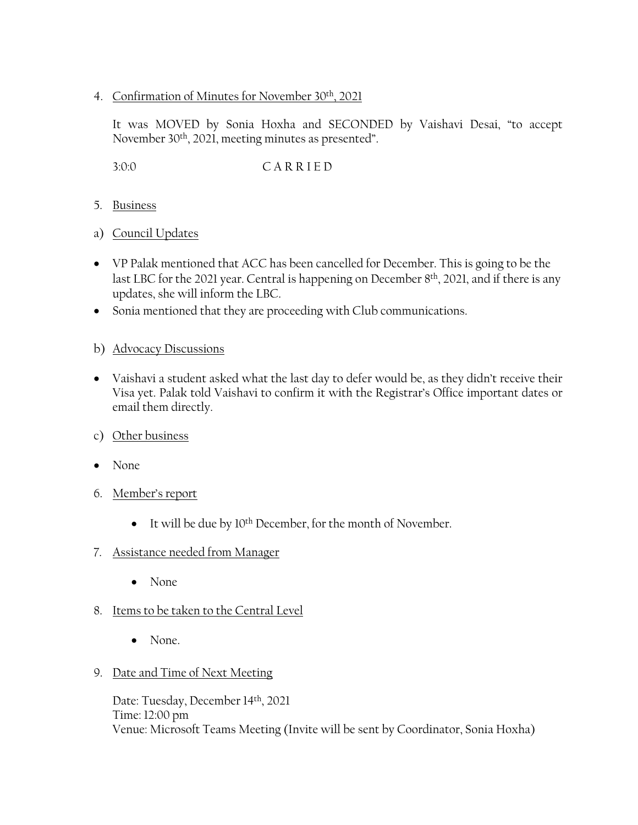4. Confirmation of Minutes for November 30th, 2021

It was MOVED by Sonia Hoxha and SECONDED by Vaishavi Desai, "to accept November 30th, 2021, meeting minutes as presented".

3:0:0 C A R R I E D

- 5. Business
- a) Council Updates
- VP Palak mentioned that ACC has been cancelled for December. This is going to be the last LBC for the 2021 year. Central is happening on December 8th, 2021, and if there is any updates, she will inform the LBC.
- Sonia mentioned that they are proceeding with Club communications.
- b) Advocacy Discussions
- Vaishavi a student asked what the last day to defer would be, as they didn't receive their Visa yet. Palak told Vaishavi to confirm it with the Registrar's Office important dates or email them directly.
- c) Other business
- None
- 6. Member's report
	- It will be due by 10<sup>th</sup> December, for the month of November.
- 7. Assistance needed from Manager
	- None
- 8. Items to be taken to the Central Level
	- None.
- 9. Date and Time of Next Meeting

Date: Tuesday, December 14th, 2021 Time: 12:00 pm Venue: Microsoft Teams Meeting (Invite will be sent by Coordinator, Sonia Hoxha)